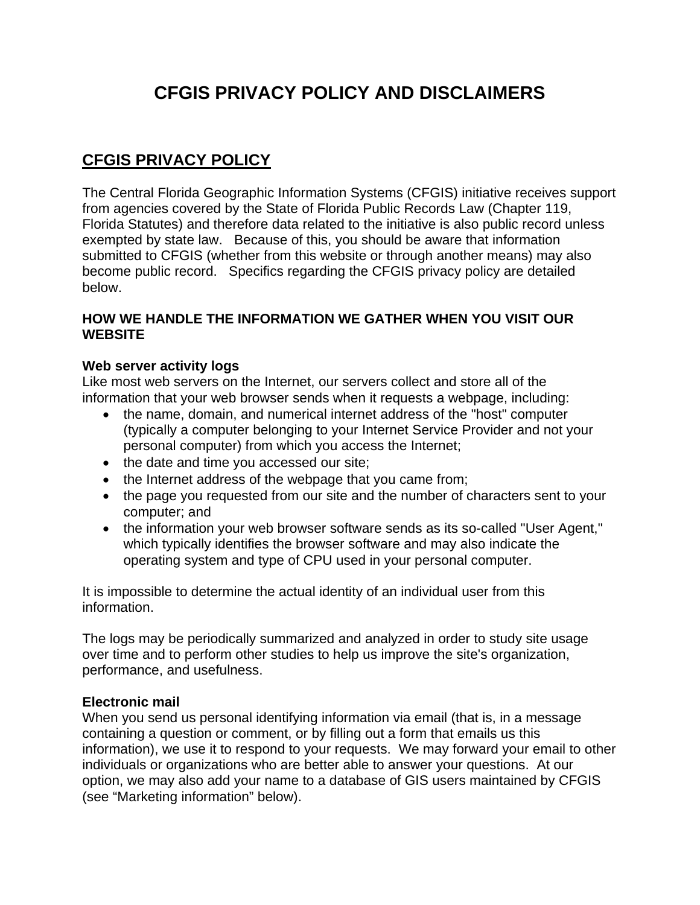# **CFGIS PRIVACY POLICY AND DISCLAIMERS**

# **CFGIS PRIVACY POLICY**

The Central Florida Geographic Information Systems (CFGIS) initiative receives support from agencies covered by the State of Florida Public Records Law (Chapter 119, Florida Statutes) and therefore data related to the initiative is also public record unless exempted by state law. Because of this, you should be aware that information submitted to CFGIS (whether from this website or through another means) may also become public record. Specifics regarding the CFGIS privacy policy are detailed below.

### **HOW WE HANDLE THE INFORMATION WE GATHER WHEN YOU VISIT OUR WEBSITE**

### **Web server activity logs**

Like most web servers on the Internet, our servers collect and store all of the information that your web browser sends when it requests a webpage, including:

- the name, domain, and numerical internet address of the "host" computer (typically a computer belonging to your Internet Service Provider and not your personal computer) from which you access the Internet;
- the date and time you accessed our site;
- the Internet address of the webpage that you came from;
- the page you requested from our site and the number of characters sent to your computer; and
- the information your web browser software sends as its so-called "User Agent," which typically identifies the browser software and may also indicate the operating system and type of CPU used in your personal computer.

It is impossible to determine the actual identity of an individual user from this information.

The logs may be periodically summarized and analyzed in order to study site usage over time and to perform other studies to help us improve the site's organization, performance, and usefulness.

#### **Electronic mail**

When you send us personal identifying information via email (that is, in a message containing a question or comment, or by filling out a form that emails us this information), we use it to respond to your requests. We may forward your email to other individuals or organizations who are better able to answer your questions. At our option, we may also add your name to a database of GIS users maintained by CFGIS (see "Marketing information" below).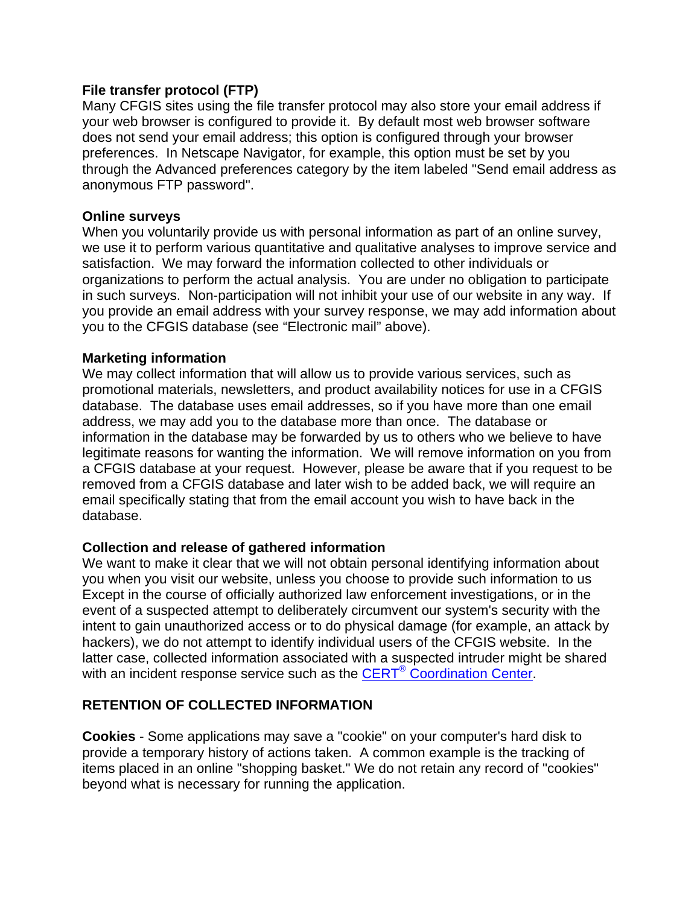#### **File transfer protocol (FTP)**

Many CFGIS sites using the file transfer protocol may also store your email address if your web browser is configured to provide it. By default most web browser software does not send your email address; this option is configured through your browser preferences. In Netscape Navigator, for example, this option must be set by you through the Advanced preferences category by the item labeled "Send email address as anonymous FTP password".

#### **Online surveys**

When you voluntarily provide us with personal information as part of an online survey, we use it to perform various quantitative and qualitative analyses to improve service and satisfaction. We may forward the information collected to other individuals or organizations to perform the actual analysis. You are under no obligation to participate in such surveys. Non-participation will not inhibit your use of our website in any way. If you provide an email address with your survey response, we may add information about you to the CFGIS database (see "Electronic mail" above).

#### **Marketing information**

We may collect information that will allow us to provide various services, such as promotional materials, newsletters, and product availability notices for use in a CFGIS database. The database uses email addresses, so if you have more than one email address, we may add you to the database more than once. The database or information in the database may be forwarded by us to others who we believe to have legitimate reasons for wanting the information. We will remove information on you from a CFGIS database at your request. However, please be aware that if you request to be removed from a CFGIS database and later wish to be added back, we will require an email specifically stating that from the email account you wish to have back in the database.

#### **Collection and release of gathered information**

We want to make it clear that we will not obtain personal identifying information about you when you visit our website, unless you choose to provide such information to us Except in the course of officially authorized law enforcement investigations, or in the event of a suspected attempt to deliberately circumvent our system's security with the intent to gain unauthorized access or to do physical damage (for example, an attack by hackers), we do not attempt to identify individual users of the CFGIS website. In the latter case, collected information associated with a suspected intruder might be shared with an incident response service such as the CERT<sup>®</sup> Coordination Center.

#### **RETENTION OF COLLECTED INFORMATION**

**Cookies** - Some applications may save a "cookie" on your computer's hard disk to provide a temporary history of actions taken. A common example is the tracking of items placed in an online "shopping basket." We do not retain any record of "cookies" beyond what is necessary for running the application.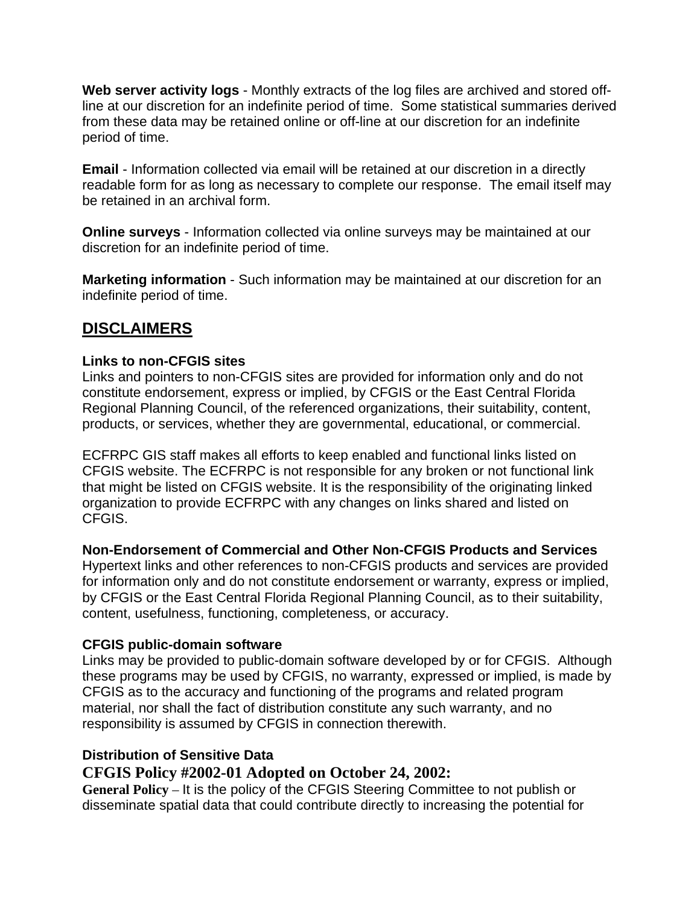**Web server activity logs** - Monthly extracts of the log files are archived and stored offline at our discretion for an indefinite period of time. Some statistical summaries derived from these data may be retained online or off-line at our discretion for an indefinite period of time.

**Email** - Information collected via email will be retained at our discretion in a directly readable form for as long as necessary to complete our response. The email itself may be retained in an archival form.

**Online surveys** - Information collected via online surveys may be maintained at our discretion for an indefinite period of time.

**Marketing information** - Such information may be maintained at our discretion for an indefinite period of time.

# **DISCLAIMERS**

## **Links to non-CFGIS sites**

Links and pointers to non-CFGIS sites are provided for information only and do not constitute endorsement, express or implied, by CFGIS or the East Central Florida Regional Planning Council, of the referenced organizations, their suitability, content, products, or services, whether they are governmental, educational, or commercial.

ECFRPC GIS staff makes all efforts to keep enabled and functional links listed on CFGIS website. The ECFRPC is not responsible for any broken or not functional link that might be listed on CFGIS website. It is the responsibility of the originating linked organization to provide ECFRPC with any changes on links shared and listed on CFGIS.

#### **Non-Endorsement of Commercial and Other Non-CFGIS Products and Services**

Hypertext links and other references to non-CFGIS products and services are provided for information only and do not constitute endorsement or warranty, express or implied, by CFGIS or the East Central Florida Regional Planning Council, as to their suitability, content, usefulness, functioning, completeness, or accuracy.

#### **CFGIS public-domain software**

Links may be provided to public-domain software developed by or for CFGIS. Although these programs may be used by CFGIS, no warranty, expressed or implied, is made by CFGIS as to the accuracy and functioning of the programs and related program material, nor shall the fact of distribution constitute any such warranty, and no responsibility is assumed by CFGIS in connection therewith.

## **Distribution of Sensitive Data**

# **CFGIS Policy #2002-01 Adopted on October 24, 2002:**

**General Policy** – It is the policy of the CFGIS Steering Committee to not publish or disseminate spatial data that could contribute directly to increasing the potential for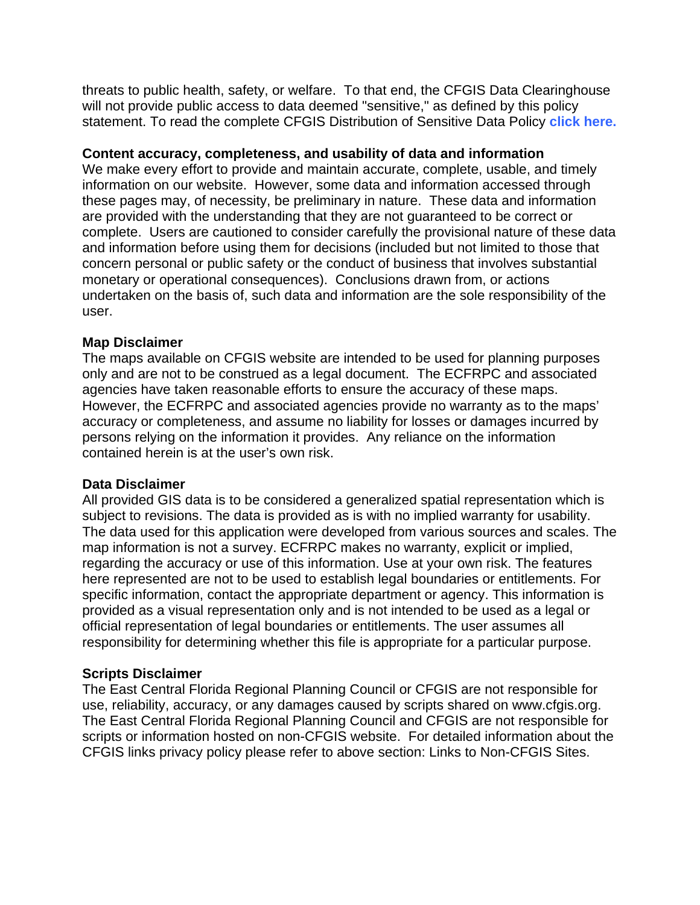threats to public health, safety, or welfare. To that end, the CFGIS Data Clearinghouse will not provide public access to data deemed "sensitive," as defined by this policy statement. To read the complete CFGIS Distribution of Sensitive Data Policy **click here.** 

#### **Content accuracy, completeness, and usability of data and information**

We make every effort to provide and maintain accurate, complete, usable, and timely information on our website. However, some data and information accessed through these pages may, of necessity, be preliminary in nature. These data and information are provided with the understanding that they are not guaranteed to be correct or complete. Users are cautioned to consider carefully the provisional nature of these data and information before using them for decisions (included but not limited to those that concern personal or public safety or the conduct of business that involves substantial monetary or operational consequences). Conclusions drawn from, or actions undertaken on the basis of, such data and information are the sole responsibility of the user.

#### **Map Disclaimer**

The maps available on CFGIS website are intended to be used for planning purposes only and are not to be construed as a legal document. The ECFRPC and associated agencies have taken reasonable efforts to ensure the accuracy of these maps. However, the ECFRPC and associated agencies provide no warranty as to the maps' accuracy or completeness, and assume no liability for losses or damages incurred by persons relying on the information it provides. Any reliance on the information contained herein is at the user's own risk.

#### **Data Disclaimer**

All provided GIS data is to be considered a generalized spatial representation which is subject to revisions. The data is provided as is with no implied warranty for usability. The data used for this application were developed from various sources and scales. The map information is not a survey. ECFRPC makes no warranty, explicit or implied, regarding the accuracy or use of this information. Use at your own risk. The features here represented are not to be used to establish legal boundaries or entitlements. For specific information, contact the appropriate department or agency. This information is provided as a visual representation only and is not intended to be used as a legal or official representation of legal boundaries or entitlements. The user assumes all responsibility for determining whether this file is appropriate for a particular purpose.

#### **Scripts Disclaimer**

The East Central Florida Regional Planning Council or CFGIS are not responsible for use, reliability, accuracy, or any damages caused by scripts shared on www.cfgis.org. The East Central Florida Regional Planning Council and CFGIS are not responsible for scripts or information hosted on non-CFGIS website. For detailed information about the CFGIS links privacy policy please refer to above section: Links to Non-CFGIS Sites.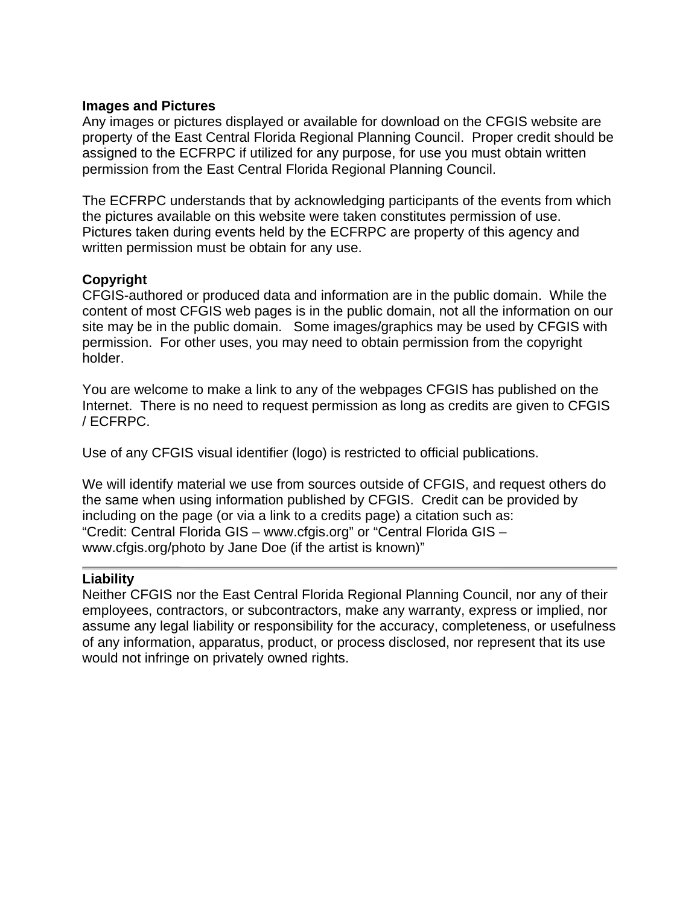#### **Images and Pictures**

Any images or pictures displayed or available for download on the CFGIS website are property of the East Central Florida Regional Planning Council. Proper credit should be assigned to the ECFRPC if utilized for any purpose, for use you must obtain written permission from the East Central Florida Regional Planning Council.

The ECFRPC understands that by acknowledging participants of the events from which the pictures available on this website were taken constitutes permission of use. Pictures taken during events held by the ECFRPC are property of this agency and written permission must be obtain for any use.

#### **Copyright**

CFGIS-authored or produced data and information are in the public domain. While the content of most CFGIS web pages is in the public domain, not all the information on our site may be in the public domain. Some images/graphics may be used by CFGIS with permission. For other uses, you may need to obtain permission from the copyright holder.

You are welcome to make a link to any of the webpages CFGIS has published on the Internet. There is no need to request permission as long as credits are given to CFGIS / ECFRPC.

Use of any CFGIS visual identifier (logo) is restricted to official publications.

We will identify material we use from sources outside of CFGIS, and request others do the same when using information published by CFGIS. Credit can be provided by including on the page (or via a link to a credits page) a citation such as: "Credit: Central Florida GIS – www.cfgis.org" or "Central Florida GIS – www.cfgis.org/photo by Jane Doe (if the artist is known)"

#### **Liability**

Neither CFGIS nor the East Central Florida Regional Planning Council, nor any of their employees, contractors, or subcontractors, make any warranty, express or implied, nor assume any legal liability or responsibility for the accuracy, completeness, or usefulness of any information, apparatus, product, or process disclosed, nor represent that its use would not infringe on privately owned rights.